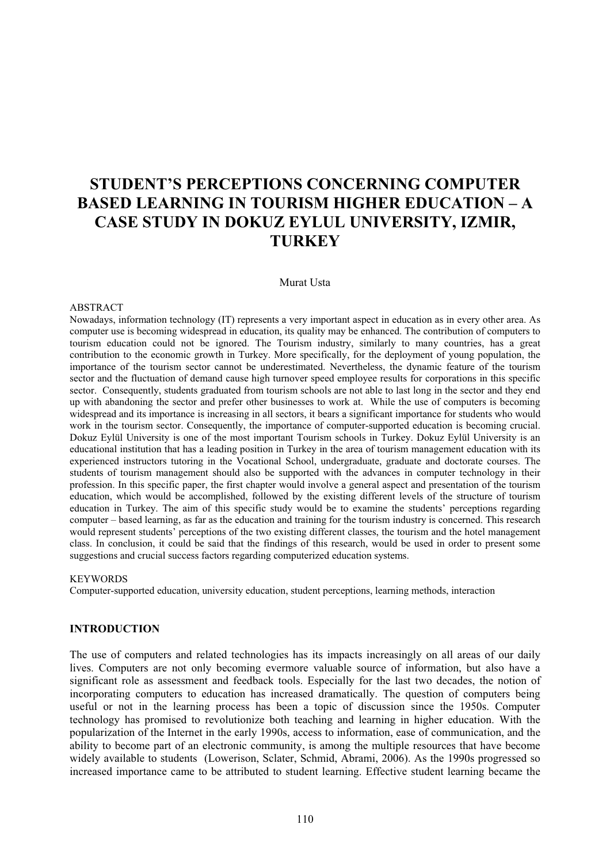# **STUDENT'S PERCEPTIONS CONCERNING COMPUTER BASED LEARNING IN TOURISM HIGHER EDUCATION – A CASE STUDY IN DOKUZ EYLUL UNIVERSITY, IZMIR, TURKEY**

#### Murat Usta

#### ABSTRACT

Nowadays, information technology (IT) represents a very important aspect in education as in every other area. As computer use is becoming widespread in education, its quality may be enhanced. The contribution of computers to tourism education could not be ignored. The Tourism industry, similarly to many countries, has a great contribution to the economic growth in Turkey. More specifically, for the deployment of young population, the importance of the tourism sector cannot be underestimated. Nevertheless, the dynamic feature of the tourism sector and the fluctuation of demand cause high turnover speed employee results for corporations in this specific sector. Consequently, students graduated from tourism schools are not able to last long in the sector and they end up with abandoning the sector and prefer other businesses to work at. While the use of computers is becoming widespread and its importance is increasing in all sectors, it bears a significant importance for students who would work in the tourism sector. Consequently, the importance of computer-supported education is becoming crucial. Dokuz Eylül University is one of the most important Tourism schools in Turkey. Dokuz Eylül University is an educational institution that has a leading position in Turkey in the area of tourism management education with its experienced instructors tutoring in the Vocational School, undergraduate, graduate and doctorate courses. The students of tourism management should also be supported with the advances in computer technology in their profession. In this specific paper, the first chapter would involve a general aspect and presentation of the tourism education, which would be accomplished, followed by the existing different levels of the structure of tourism education in Turkey. The aim of this specific study would be to examine the students' perceptions regarding computer – based learning, as far as the education and training for the tourism industry is concerned. This research would represent students' perceptions of the two existing different classes, the tourism and the hotel management class. In conclusion, it could be said that the findings of this research, would be used in order to present some suggestions and crucial success factors regarding computerized education systems.

#### **KEYWORDS**

Computer-supported education, university education, student perceptions, learning methods, interaction

#### **INTRODUCTION**

The use of computers and related technologies has its impacts increasingly on all areas of our daily lives. Computers are not only becoming evermore valuable source of information, but also have a significant role as assessment and feedback tools. Especially for the last two decades, the notion of incorporating computers to education has increased dramatically. The question of computers being useful or not in the learning process has been a topic of discussion since the 1950s. Computer technology has promised to revolutionize both teaching and learning in higher education. With the popularization of the Internet in the early 1990s, access to information, ease of communication, and the ability to become part of an electronic community, is among the multiple resources that have become widely available to students (Lowerison, Sclater, Schmid, Abrami, 2006). As the 1990s progressed so increased importance came to be attributed to student learning. Effective student learning became the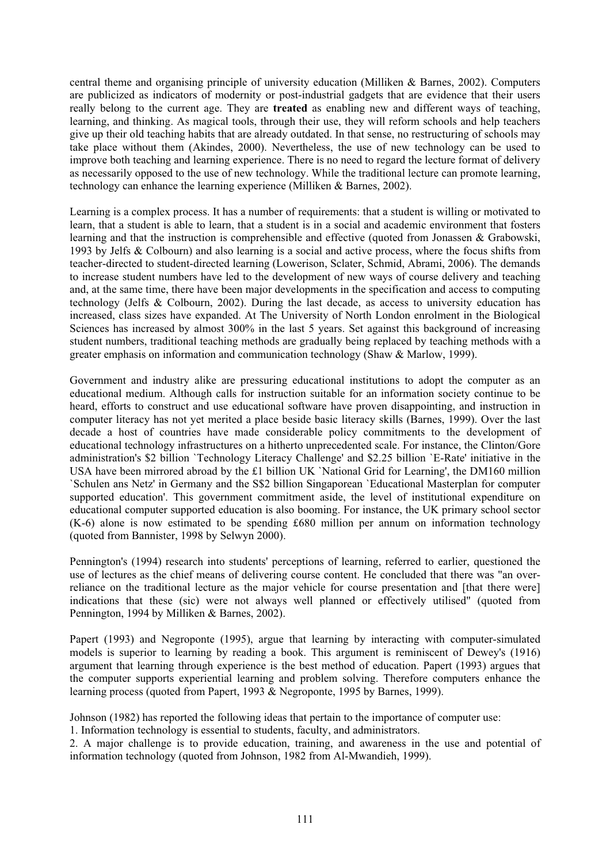central theme and organising principle of university education (Milliken & Barnes, 2002). Computers are publicized as indicators of modernity or post-industrial gadgets that are evidence that their users really belong to the current age. They are **treated** as enabling new and different ways of teaching, learning, and thinking. As magical tools, through their use, they will reform schools and help teachers give up their old teaching habits that are already outdated. In that sense, no restructuring of schools may take place without them (Akindes, 2000). Nevertheless, the use of new technology can be used to improve both teaching and learning experience. There is no need to regard the lecture format of delivery as necessarily opposed to the use of new technology. While the traditional lecture can promote learning, technology can enhance the learning experience (Milliken & Barnes, 2002).

Learning is a complex process. It has a number of requirements: that a student is willing or motivated to learn, that a student is able to learn, that a student is in a social and academic environment that fosters learning and that the instruction is comprehensible and effective (quoted from Jonassen & Grabowski, 1993 by Jelfs & Colbourn) and also learning is a social and active process, where the focus shifts from teacher-directed to student-directed learning (Lowerison, Sclater, Schmid, Abrami, 2006). The demands to increase student numbers have led to the development of new ways of course delivery and teaching and, at the same time, there have been major developments in the specification and access to computing technology (Jelfs & Colbourn, 2002). During the last decade, as access to university education has increased, class sizes have expanded. At The University of North London enrolment in the Biological Sciences has increased by almost 300% in the last 5 years. Set against this background of increasing student numbers, traditional teaching methods are gradually being replaced by teaching methods with a greater emphasis on information and communication technology (Shaw & Marlow, 1999).

Government and industry alike are pressuring educational institutions to adopt the computer as an educational medium. Although calls for instruction suitable for an information society continue to be heard, efforts to construct and use educational software have proven disappointing, and instruction in computer literacy has not yet merited a place beside basic literacy skills (Barnes, 1999). Over the last decade a host of countries have made considerable policy commitments to the development of educational technology infrastructures on a hitherto unprecedented scale. For instance, the Clinton/Gore administration's \$2 billion `Technology Literacy Challenge' and \$2.25 billion `E-Rate' initiative in the USA have been mirrored abroad by the £1 billion UK `National Grid for Learning', the DM160 million `Schulen ans Netz' in Germany and the S\$2 billion Singaporean `Educational Masterplan for computer supported education'. This government commitment aside, the level of institutional expenditure on educational computer supported education is also booming. For instance, the UK primary school sector (K-6) alone is now estimated to be spending £680 million per annum on information technology (quoted from Bannister, 1998 by Selwyn 2000).

Pennington's (1994) research into students' perceptions of learning, referred to earlier, questioned the use of lectures as the chief means of delivering course content. He concluded that there was "an overreliance on the traditional lecture as the major vehicle for course presentation and [that there were] indications that these (sic) were not always well planned or effectively utilised" (quoted from Pennington, 1994 by Milliken & Barnes, 2002).

Papert (1993) and Negroponte (1995), argue that learning by interacting with computer-simulated models is superior to learning by reading a book. This argument is reminiscent of Dewey's (1916) argument that learning through experience is the best method of education. Papert (1993) argues that the computer supports experiential learning and problem solving. Therefore computers enhance the learning process (quoted from Papert, 1993 & Negroponte, 1995 by Barnes, 1999).

Johnson (1982) has reported the following ideas that pertain to the importance of computer use:

1. Information technology is essential to students, faculty, and administrators.

2. A major challenge is to provide education, training, and awareness in the use and potential of information technology (quoted from Johnson, 1982 from Al-Mwandieh, 1999).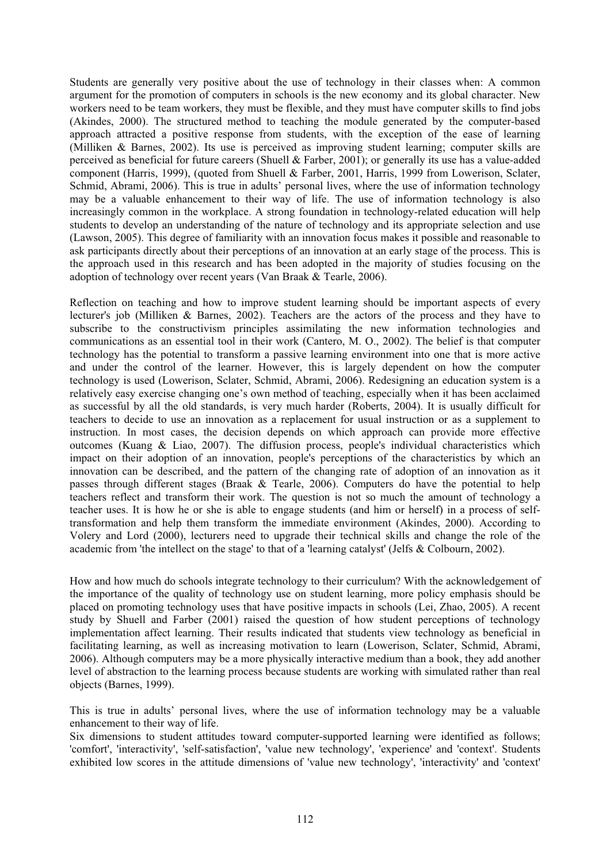Students are generally very positive about the use of technology in their classes when: A common argument for the promotion of computers in schools is the new economy and its global character. New workers need to be team workers, they must be flexible, and they must have computer skills to find jobs (Akindes, 2000). The structured method to teaching the module generated by the computer-based approach attracted a positive response from students, with the exception of the ease of learning (Milliken & Barnes, 2002). Its use is perceived as improving student learning; computer skills are perceived as beneficial for future careers (Shuell & Farber, 2001); or generally its use has a value-added component (Harris, 1999), (quoted from Shuell & Farber, 2001, Harris, 1999 from Lowerison, Sclater, Schmid, Abrami, 2006). This is true in adults' personal lives, where the use of information technology may be a valuable enhancement to their way of life. The use of information technology is also increasingly common in the workplace. A strong foundation in technology-related education will help students to develop an understanding of the nature of technology and its appropriate selection and use (Lawson, 2005). This degree of familiarity with an innovation focus makes it possible and reasonable to ask participants directly about their perceptions of an innovation at an early stage of the process. This is the approach used in this research and has been adopted in the majority of studies focusing on the adoption of technology over recent years (Van Braak & Tearle, 2006).

Reflection on teaching and how to improve student learning should be important aspects of every lecturer's job (Milliken & Barnes, 2002). Teachers are the actors of the process and they have to subscribe to the constructivism principles assimilating the new information technologies and communications as an essential tool in their work (Cantero, M. O., 2002). The belief is that computer technology has the potential to transform a passive learning environment into one that is more active and under the control of the learner. However, this is largely dependent on how the computer technology is used (Lowerison, Sclater, Schmid, Abrami, 2006). Redesigning an education system is a relatively easy exercise changing one's own method of teaching, especially when it has been acclaimed as successful by all the old standards, is very much harder (Roberts, 2004). It is usually difficult for teachers to decide to use an innovation as a replacement for usual instruction or as a supplement to instruction. In most cases, the decision depends on which approach can provide more effective outcomes (Kuang & Liao, 2007). The diffusion process, people's individual characteristics which impact on their adoption of an innovation, people's perceptions of the characteristics by which an innovation can be described, and the pattern of the changing rate of adoption of an innovation as it passes through different stages (Braak & Tearle, 2006). Computers do have the potential to help teachers reflect and transform their work. The question is not so much the amount of technology a teacher uses. It is how he or she is able to engage students (and him or herself) in a process of selftransformation and help them transform the immediate environment (Akindes, 2000). According to Volery and Lord (2000), lecturers need to upgrade their technical skills and change the role of the academic from 'the intellect on the stage' to that of a 'learning catalyst' (Jelfs & Colbourn, 2002).

How and how much do schools integrate technology to their curriculum? With the acknowledgement of the importance of the quality of technology use on student learning, more policy emphasis should be placed on promoting technology uses that have positive impacts in schools (Lei, Zhao, 2005). A recent study by Shuell and Farber (2001) raised the question of how student perceptions of technology implementation affect learning. Their results indicated that students view technology as beneficial in facilitating learning, as well as increasing motivation to learn (Lowerison, Sclater, Schmid, Abrami, 2006). Although computers may be a more physically interactive medium than a book, they add another level of abstraction to the learning process because students are working with simulated rather than real objects (Barnes, 1999).

This is true in adults' personal lives, where the use of information technology may be a valuable enhancement to their way of life.

Six dimensions to student attitudes toward computer-supported learning were identified as follows; 'comfort', 'interactivity', 'self-satisfaction', 'value new technology', 'experience' and 'context'. Students exhibited low scores in the attitude dimensions of 'value new technology', 'interactivity' and 'context'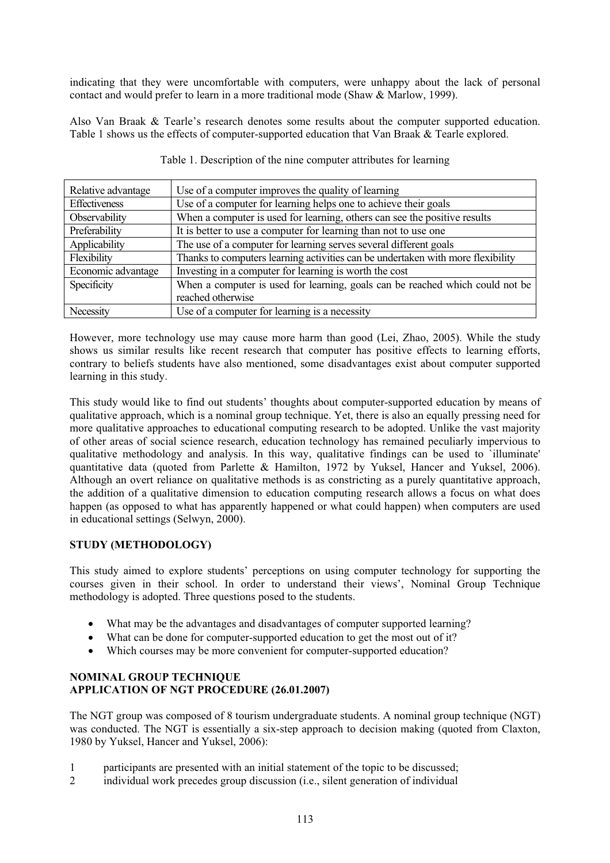indicating that they were uncomfortable with computers, were unhappy about the lack of personal contact and would prefer to learn in a more traditional mode (Shaw & Marlow, 1999).

Also Van Braak & Tearle's research denotes some results about the computer supported education. Table 1 shows us the effects of computer-supported education that Van Braak & Tearle explored.

| Relative advantage | Use of a computer improves the quality of learning                              |
|--------------------|---------------------------------------------------------------------------------|
| Effectiveness      | Use of a computer for learning helps one to achieve their goals                 |
| Observability      | When a computer is used for learning, others can see the positive results       |
| Preferability      | It is better to use a computer for learning than not to use one                 |
| Applicability      | The use of a computer for learning serves several different goals               |
| Flexibility        | Thanks to computers learning activities can be undertaken with more flexibility |
| Economic advantage | Investing in a computer for learning is worth the cost                          |
| Specificity        | When a computer is used for learning, goals can be reached which could not be   |
|                    | reached otherwise                                                               |
| Necessity          | Use of a computer for learning is a necessity                                   |

Table 1. Description of the nine computer attributes for learning

However, more technology use may cause more harm than good (Lei, Zhao, 2005). While the study shows us similar results like recent research that computer has positive effects to learning efforts, contrary to beliefs students have also mentioned, some disadvantages exist about computer supported learning in this study.

This study would like to find out students' thoughts about computer-supported education by means of qualitative approach, which is a nominal group technique. Yet, there is also an equally pressing need for more qualitative approaches to educational computing research to be adopted. Unlike the vast majority of other areas of social science research, education technology has remained peculiarly impervious to qualitative methodology and analysis. In this way, qualitative findings can be used to 'illuminate' quantitative data (quoted from Parlette & Hamilton, 1972 by Yuksel, Hancer and Yuksel, 2006). Although an overt reliance on qualitative methods is as constricting as a purely quantitative approach, the addition of a qualitative dimension to education computing research allows a focus on what does happen (as opposed to what has apparently happened or what could happen) when computers are used in educational settings (Selwyn, 2000).

# **STUDY (METHODOLOGY)**

This study aimed to explore students' perceptions on using computer technology for supporting the courses given in their school. In order to understand their views', Nominal Group Technique methodology is adopted. Three questions posed to the students.

- What may be the advantages and disadvantages of computer supported learning?
- What can be done for computer-supported education to get the most out of it?
- Which courses may be more convenient for computer-supported education?

## **NOMINAL GROUP TECHNIQUE APPLICATION OF NGT PROCEDURE (26.01.2007)**

The NGT group was composed of 8 tourism undergraduate students. A nominal group technique (NGT) was conducted. The NGT is essentially a six-step approach to decision making (quoted from Claxton, 1980 by Yuksel, Hancer and Yuksel, 2006):

- 1 participants are presented with an initial statement of the topic to be discussed;
- 2 individual work precedes group discussion (i.e., silent generation of individual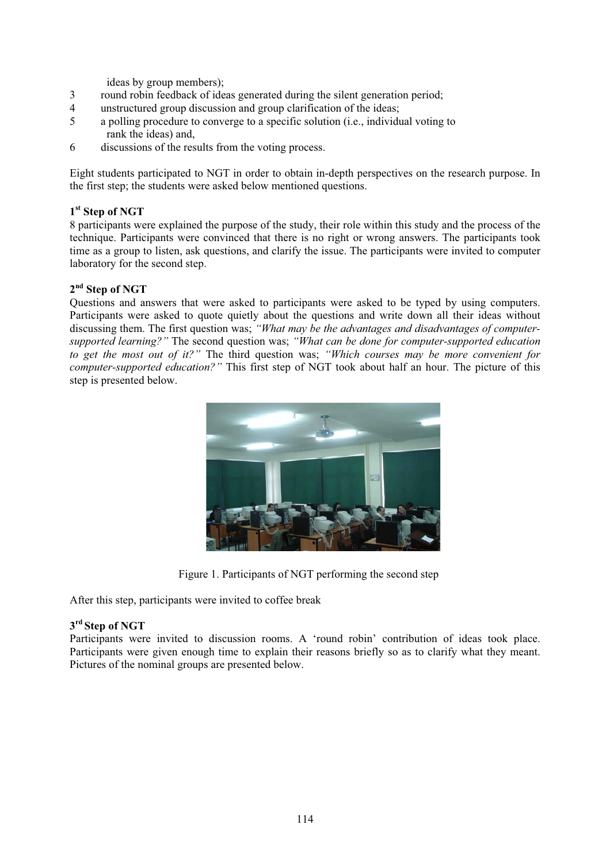ideas by group members);

- 3 round robin feedback of ideas generated during the silent generation period;
- 4 unstructured group discussion and group clarification of the ideas;<br>5 a polling procedure to converge to a specific solution (i.e. individually
- 5 a polling procedure to converge to a specific solution (i.e., individual voting to rank the ideas) and,
- 6 discussions of the results from the voting process.

Eight students participated to NGT in order to obtain in-depth perspectives on the research purpose. In the first step; the students were asked below mentioned questions.

# **1st Step of NGT**

8 participants were explained the purpose of the study, their role within this study and the process of the technique. Participants were convinced that there is no right or wrong answers. The participants took time as a group to listen, ask questions, and clarify the issue. The participants were invited to computer laboratory for the second step.

# **2nd Step of NGT**

Questions and answers that were asked to participants were asked to be typed by using computers. Participants were asked to quote quietly about the questions and write down all their ideas without discussing them. The first question was; *"What may be the advantages and disadvantages of computersupported learning?"* The second question was; *"What can be done for computer-supported education to get the most out of it?"* The third question was; *"Which courses may be more convenient for computer-supported education?"* This first step of NGT took about half an hour. The picture of this step is presented below.



Figure 1. Participants of NGT performing the second step

After this step, participants were invited to coffee break

## **3rd Step of NGT**

Participants were invited to discussion rooms. A 'round robin' contribution of ideas took place. Participants were given enough time to explain their reasons briefly so as to clarify what they meant. Pictures of the nominal groups are presented below.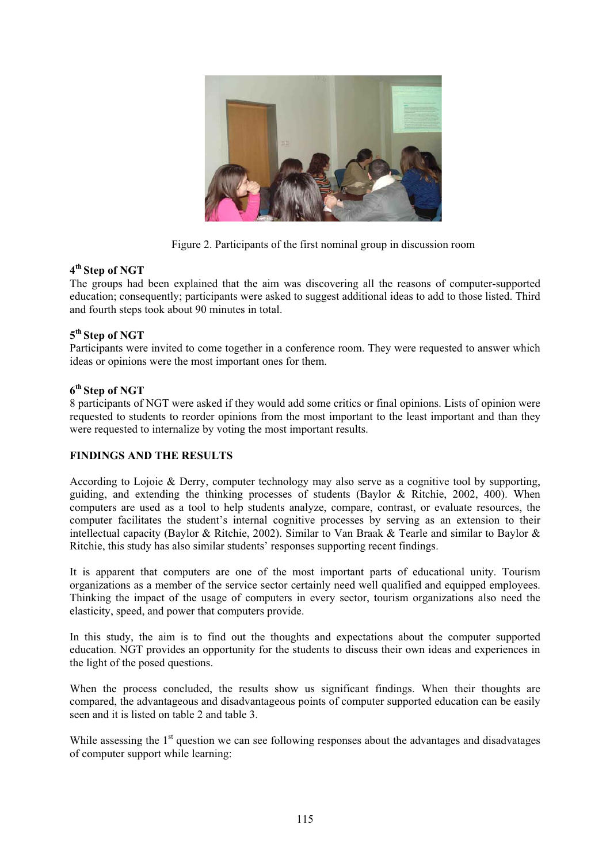

Figure 2. Participants of the first nominal group in discussion room

# **4th Step of NGT**

The groups had been explained that the aim was discovering all the reasons of computer-supported education; consequently; participants were asked to suggest additional ideas to add to those listed. Third and fourth steps took about 90 minutes in total.

## **5th Step of NGT**

Participants were invited to come together in a conference room. They were requested to answer which ideas or opinions were the most important ones for them.

## **6th Step of NGT**

8 participants of NGT were asked if they would add some critics or final opinions. Lists of opinion were requested to students to reorder opinions from the most important to the least important and than they were requested to internalize by voting the most important results.

# **FINDINGS AND THE RESULTS**

According to Lojoie & Derry, computer technology may also serve as a cognitive tool by supporting, guiding, and extending the thinking processes of students (Baylor & Ritchie, 2002, 400). When computers are used as a tool to help students analyze, compare, contrast, or evaluate resources, the computer facilitates the student's internal cognitive processes by serving as an extension to their intellectual capacity (Baylor & Ritchie, 2002). Similar to Van Braak & Tearle and similar to Baylor & Ritchie, this study has also similar students' responses supporting recent findings.

It is apparent that computers are one of the most important parts of educational unity. Tourism organizations as a member of the service sector certainly need well qualified and equipped employees. Thinking the impact of the usage of computers in every sector, tourism organizations also need the elasticity, speed, and power that computers provide.

In this study, the aim is to find out the thoughts and expectations about the computer supported education. NGT provides an opportunity for the students to discuss their own ideas and experiences in the light of the posed questions.

When the process concluded, the results show us significant findings. When their thoughts are compared, the advantageous and disadvantageous points of computer supported education can be easily seen and it is listed on table 2 and table 3.

While assessing the  $1<sup>st</sup>$  question we can see following responses about the advantages and disadvatages of computer support while learning: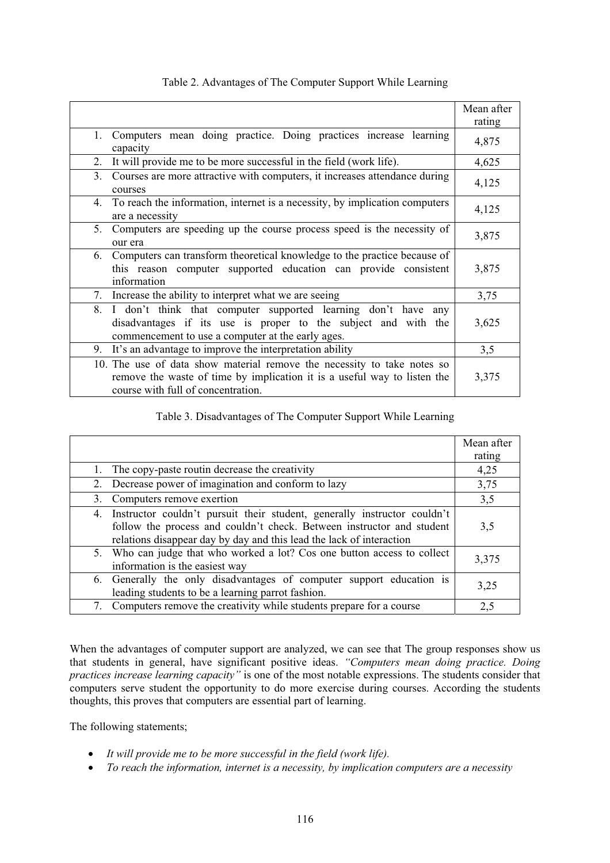|                                                                                                                                                                                            | Mean after<br>rating |
|--------------------------------------------------------------------------------------------------------------------------------------------------------------------------------------------|----------------------|
| Computers mean doing practice. Doing practices increase learning<br>1.<br>capacity                                                                                                         | 4,875                |
| It will provide me to be more successful in the field (work life).<br>2.                                                                                                                   | 4,625                |
| 3.<br>Courses are more attractive with computers, it increases attendance during<br>courses                                                                                                | 4,125                |
| To reach the information, internet is a necessity, by implication computers<br>4.<br>are a necessity                                                                                       | 4,125                |
| Computers are speeding up the course process speed is the necessity of<br>5.<br>our era                                                                                                    | 3,875                |
| 6. Computers can transform theoretical knowledge to the practice because of<br>this reason computer supported education can provide consistent<br>information                              | 3,875                |
| 7. Increase the ability to interpret what we are seeing                                                                                                                                    | 3,75                 |
| 8. I don't think that computer supported learning don't have<br>any<br>disadvantages if its use is proper to the subject and with the<br>commencement to use a computer at the early ages. | 3,625                |
| It's an advantage to improve the interpretation ability<br>9.                                                                                                                              | 3,5                  |
| 10. The use of data show material remove the necessity to take notes so<br>remove the waste of time by implication it is a useful way to listen the<br>course with full of concentration.  | 3,375                |

# Table 2. Advantages of The Computer Support While Learning

# Table 3. Disadvantages of The Computer Support While Learning

|                                                                                                                                                                                                                              | Mean after<br>rating |
|------------------------------------------------------------------------------------------------------------------------------------------------------------------------------------------------------------------------------|----------------------|
| 1. The copy-paste routin decrease the creativity                                                                                                                                                                             | 4,25                 |
| Decrease power of imagination and conform to lazy<br>2.                                                                                                                                                                      | 3,75                 |
| 3. Computers remove exertion                                                                                                                                                                                                 | 3,5                  |
| 4. Instructor couldn't pursuit their student, generally instructor couldn't<br>follow the process and couldn't check. Between instructor and student<br>relations disappear day by day and this lead the lack of interaction | 3,5                  |
| 5. Who can judge that who worked a lot? Cos one button access to collect<br>information is the easiest way                                                                                                                   | 3,375                |
| 6. Generally the only disadvantages of computer support education is<br>leading students to be a learning parrot fashion.                                                                                                    | 3,25                 |
| 7. Computers remove the creativity while students prepare for a course                                                                                                                                                       | 2,5                  |

When the advantages of computer support are analyzed, we can see that The group responses show us that students in general, have significant positive ideas. *"Computers mean doing practice. Doing practices increase learning capacity"* is one of the most notable expressions. The students consider that computers serve student the opportunity to do more exercise during courses. According the students thoughts, this proves that computers are essential part of learning.

The following statements;

- It will provide me to be more successful in the field (work life).
- $\bullet$ *To reach the information, internet is a necessity, by implication computers are a necessity*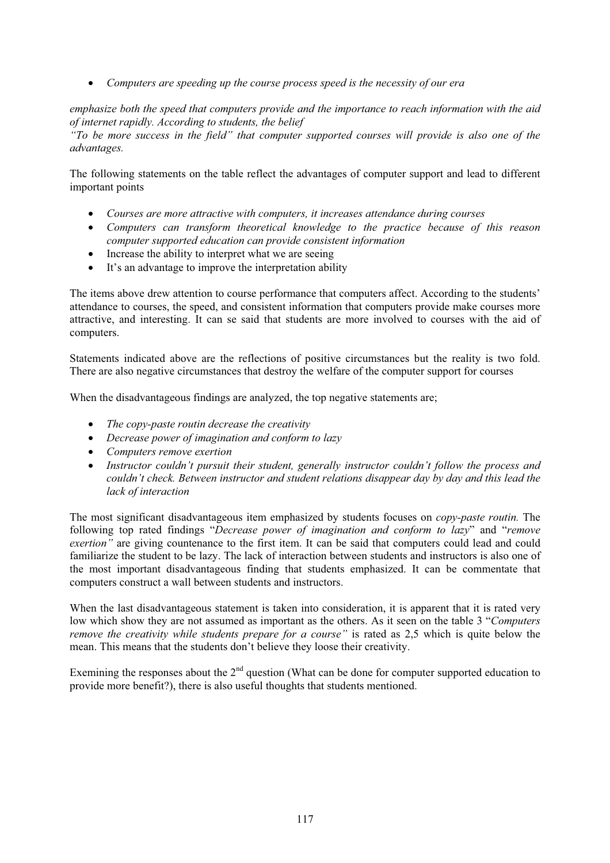- *Computers are speeding up the course process speed is the necessity of our era* 

*emphasize both the speed that computers provide and the importance to reach information with the aid of internet rapidly. According to students, the belief* 

*"To be more success in the field" that computer supported courses will provide is also one of the advantages.* 

The following statements on the table reflect the advantages of computer support and lead to different important points

- *Courses are more attractive with computers, it increases attendance during courses*
- *Computers can transform theoretical knowledge to the practice because of this reason computer supported education can provide consistent information*
- Increase the ability to interpret what we are seeing
- $\bullet$ It's an advantage to improve the interpretation ability

The items above drew attention to course performance that computers affect. According to the students' attendance to courses, the speed, and consistent information that computers provide make courses more attractive, and interesting. It can se said that students are more involved to courses with the aid of computers.

Statements indicated above are the reflections of positive circumstances but the reality is two fold. There are also negative circumstances that destroy the welfare of the computer support for courses

When the disadvantageous findings are analyzed, the top negative statements are;

- *The copy-paste routin decrease the creativity*
- *Decrease power of imagination and conform to lazy*
- *Computers remove exertion*
- *Instructor couldn't pursuit their student, generally instructor couldn't follow the process and couldn't check. Between instructor and student relations disappear day by day and this lead the lack of interaction*

The most significant disadvantageous item emphasized by students focuses on *copy-paste routin.* The following top rated findings "*Decrease power of imagination and conform to lazy*" and "*remove exertion*" are giving countenance to the first item. It can be said that computers could lead and could familiarize the student to be lazy. The lack of interaction between students and instructors is also one of the most important disadvantageous finding that students emphasized. It can be commentate that computers construct a wall between students and instructors.

When the last disadvantageous statement is taken into consideration, it is apparent that it is rated very low which show they are not assumed as important as the others. As it seen on the table 3 "*Computers remove the creativity while students prepare for a course*" is rated as 2,5 which is quite below the mean. This means that the students don't believe they loose their creativity.

Exemining the responses about the  $2<sup>nd</sup>$  question (What can be done for computer supported education to provide more benefit?), there is also useful thoughts that students mentioned.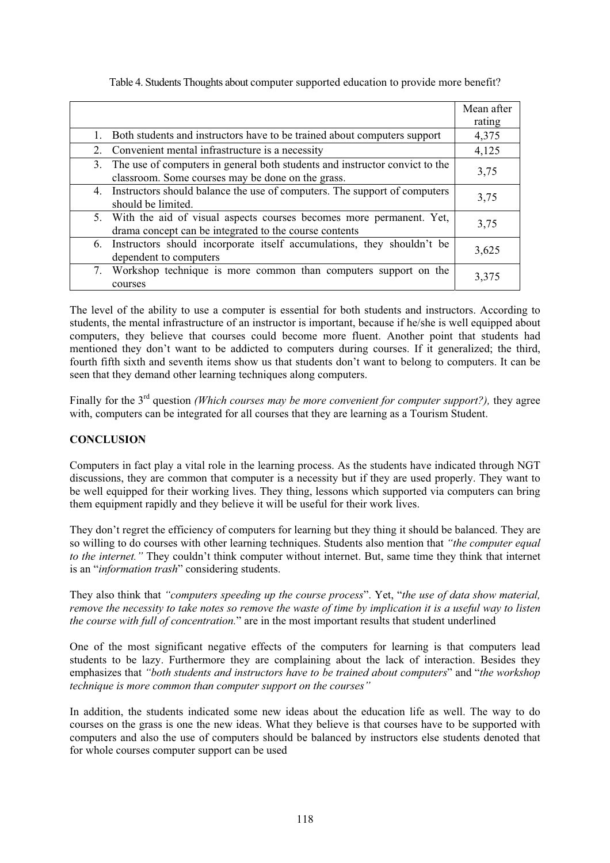|                                                                                | Mean after |
|--------------------------------------------------------------------------------|------------|
|                                                                                | rating     |
| Both students and instructors have to be trained about computers support<br>1. | 4,375      |
|                                                                                |            |
| 2. Convenient mental infrastructure is a necessity                             | 4,125      |
| 3. The use of computers in general both students and instructor convict to the |            |
| classroom. Some courses may be done on the grass.                              | 3,75       |
| 4. Instructors should balance the use of computers. The support of computers   | 3,75       |
| should be limited.                                                             |            |
| 5. With the aid of visual aspects courses becomes more permanent. Yet,         |            |
| drama concept can be integrated to the course contents                         | 3,75       |
| Instructors should incorporate itself accumulations, they shouldn't be<br>6.   |            |
| dependent to computers                                                         | 3,625      |
| Workshop technique is more common than computers support on the<br>7.          |            |
| courses                                                                        | 3,375      |

Table 4. Students Thoughts about computer supported education to provide more benefit?

The level of the ability to use a computer is essential for both students and instructors. According to students, the mental infrastructure of an instructor is important, because if he/she is well equipped about computers, they believe that courses could become more fluent. Another point that students had mentioned they don't want to be addicted to computers during courses. If it generalized; the third, fourth fifth sixth and seventh items show us that students don't want to belong to computers. It can be seen that they demand other learning techniques along computers.

Finally for the 3rd question *(Which courses may be more convenient for computer support?),* they agree with, computers can be integrated for all courses that they are learning as a Tourism Student.

# **CONCLUSION**

Computers in fact play a vital role in the learning process. As the students have indicated through NGT discussions, they are common that computer is a necessity but if they are used properly. They want to be well equipped for their working lives. They thing, lessons which supported via computers can bring them equipment rapidly and they believe it will be useful for their work lives.

They don't regret the efficiency of computers for learning but they thing it should be balanced. They are so willing to do courses with other learning techniques. Students also mention that *"the computer equal to the internet."* They couldn't think computer without internet. But, same time they think that internet is an "*information trash*" considering students.

They also think that *"computers speeding up the course process*". Yet, "*the use of data show material, remove the necessity to take notes so remove the waste of time by implication it is a useful way to listen the course with full of concentration.*" are in the most important results that student underlined

One of the most significant negative effects of the computers for learning is that computers lead students to be lazy. Furthermore they are complaining about the lack of interaction. Besides they emphasizes that *"both students and instructors have to be trained about computers*" and "*the workshop technique is more common than computer support on the courses"*

In addition, the students indicated some new ideas about the education life as well. The way to do courses on the grass is one the new ideas. What they believe is that courses have to be supported with computers and also the use of computers should be balanced by instructors else students denoted that for whole courses computer support can be used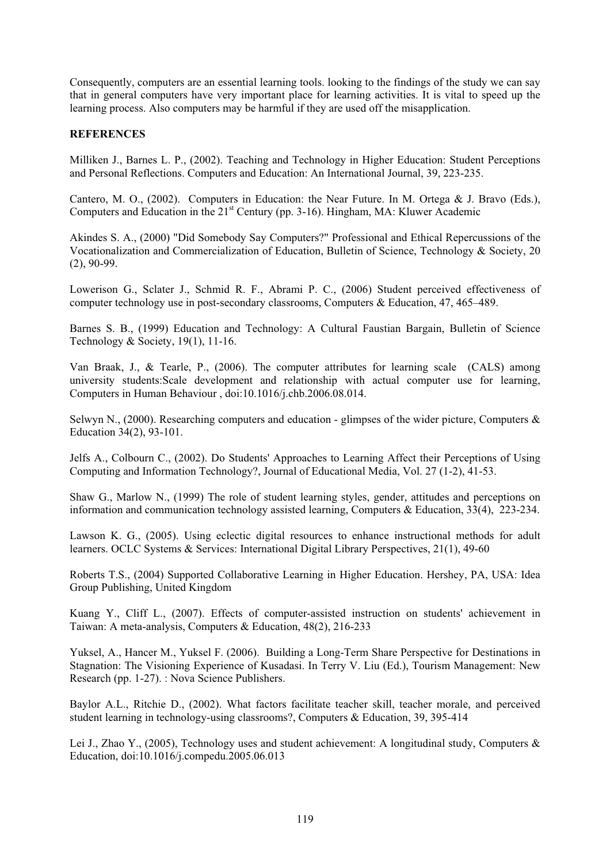Consequently, computers are an essential learning tools. looking to the findings of the study we can say that in general computers have very important place for learning activities. It is vital to speed up the learning process. Also computers may be harmful if they are used off the misapplication.

#### **REFERENCES**

Milliken J., Barnes L. P., (2002). Teaching and Technology in Higher Education: Student Perceptions and Personal Reflections. Computers and Education: An International Journal, 39, 223-235.

Cantero, M. O., (2002). Computers in Education: the Near Future. In M. Ortega & J. Bravo (Eds.), Computers and Education in the 21<sup>st</sup> Century (pp. 3-16). Hingham, MA: Kluwer Academic

Akindes S. A., (2000) "Did Somebody Say Computers?" Professional and Ethical Repercussions of the Vocationalization and Commercialization of Education, Bulletin of Science, Technology & Society, 20 (2), 90-99.

Lowerison G., Sclater J., Schmid R. F., Abrami P. C., (2006) Student perceived effectiveness of computer technology use in post-secondary classrooms, Computers & Education, 47, 465–489.

Barnes S. B., (1999) Education and Technology: A Cultural Faustian Bargain, Bulletin of Science Technology & Society, 19(1), 11-16.

Van Braak, J., & Tearle, P., (2006). The computer attributes for learning scale (CALS) among university students:Scale development and relationship with actual computer use for learning, Computers in Human Behaviour , doi:10.1016/j.chb.2006.08.014.

Selwyn N., (2000). Researching computers and education - glimpses of the wider picture, Computers & Education 34(2), 93-101.

Jelfs A., Colbourn C., (2002). Do Students' Approaches to Learning Affect their Perceptions of Using Computing and Information Technology?, Journal of Educational Media, Vol. 27 (1-2), 41-53.

Shaw G., Marlow N., (1999) The role of student learning styles, gender, attitudes and perceptions on information and communication technology assisted learning, Computers & Education, 33(4), 223-234.

Lawson K. G., (2005). Using eclectic digital resources to enhance instructional methods for adult learners. OCLC Systems & Services: International Digital Library Perspectives, 21(1), 49-60

Roberts T.S., (2004) Supported Collaborative Learning in Higher Education. Hershey, PA, USA: Idea Group Publishing, United Kingdom

Kuang Y., Cliff L., (2007). Effects of computer-assisted instruction on students' achievement in Taiwan: A meta-analysis, Computers & Education, 48(2), 216-233

Yuksel, A., Hancer M., Yuksel F. (2006). Building a Long-Term Share Perspective for Destinations in Stagnation: The Visioning Experience of Kusadasi. In Terry V. Liu (Ed.), Tourism Management: New Research (pp. 1-27). : Nova Science Publishers.

Baylor A.L., Ritchie D., (2002). What factors facilitate teacher skill, teacher morale, and perceived student learning in technology-using classrooms?, Computers & Education, 39, 395-414

Lei J., Zhao Y., (2005), Technology uses and student achievement: A longitudinal study, Computers & Education, doi:10.1016/j.compedu.2005.06.013